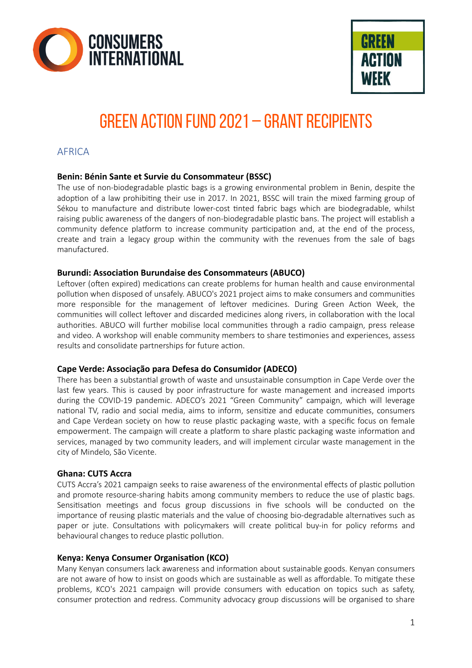



# GREEN ACTION FUND 2021 – GRANT RECIPIENTS

## AFRICA

## **Benin: Bénin Sante et Survie du Consommateur (BSSC)**

The use of non-biodegradable plastic bags is a growing environmental problem in Benin, despite the adoption of a law prohibiting their use in 2017. In 2021, BSSC will train the mixed farming group of Sékou to manufacture and distribute lower-cost tinted fabric bags which are biodegradable, whilst raising public awareness of the dangers of non-biodegradable plastic bans. The project will establish a community defence platform to increase community participation and, at the end of the process, create and train a legacy group within the community with the revenues from the sale of bags manufactured.

## **Burundi: Association Burundaise des Consommateurs (ABUCO)**

Leftover (often expired) medications can create problems for human health and cause environmental pollution when disposed of unsafely. ABUCO's 2021 project aims to make consumers and communities more responsible for the management of leftover medicines. During Green Action Week, the communities will collect leftover and discarded medicines along rivers, in collaboration with the local authorities. ABUCO will further mobilise local communities through a radio campaign, press release and video. A workshop will enable community members to share testimonies and experiences, assess results and consolidate partnerships for future action.

## **Cape Verde: Associação para Defesa do Consumidor (ADECO)**

There has been a substantial growth of waste and unsustainable consumption in Cape Verde over the last few years. This is caused by poor infrastructure for waste management and increased imports during the COVID-19 pandemic. ADECO's 2021 "Green Community" campaign, which will leverage national TV, radio and social media, aims to inform, sensitize and educate communities, consumers and Cape Verdean society on how to reuse plastic packaging waste, with a specific focus on female empowerment. The campaign will create a platform to share plastic packaging waste information and services, managed by two community leaders, and will implement circular waste management in the city of Mindelo, São Vicente.

## **Ghana: CUTS Accra**

CUTS Accra's 2021 campaign seeks to raise awareness of the environmental effects of plastic pollution and promote resource-sharing habits among community members to reduce the use of plastic bags. Sensitisation meetings and focus group discussions in five schools will be conducted on the importance of reusing plastic materials and the value of choosing bio-degradable alternatives such as paper or jute. Consultations with policymakers will create political buy-in for policy reforms and behavioural changes to reduce plastic pollution.

## Kenya: Kenya Consumer Organisation (KCO)

Many Kenyan consumers lack awareness and information about sustainable goods. Kenyan consumers are not aware of how to insist on goods which are sustainable as well as affordable. To mitigate these problems, KCO's 2021 campaign will provide consumers with education on topics such as safety, consumer protection and redress. Community advocacy group discussions will be organised to share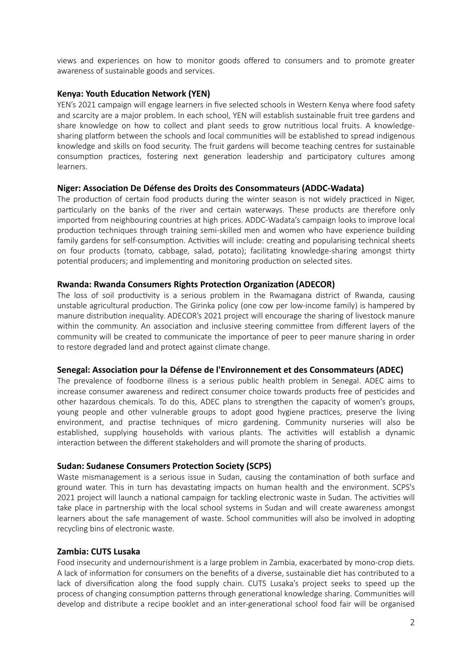views and experiences on how to monitor goods offered to consumers and to promote greater awareness of sustainable goods and services.

#### **Kenya: Youth Education Network (YEN)**

YEN's 2021 campaign will engage learners in five selected schools in Western Kenya where food safety and scarcity are a major problem. In each school, YEN will establish sustainable fruit tree gardens and share knowledge on how to collect and plant seeds to grow nutritious local fruits. A knowledgesharing platform between the schools and local communities will be established to spread indigenous knowledge and skills on food security. The fruit gardens will become teaching centres for sustainable consumption practices, fostering next generation leadership and participatory cultures among learners.

#### **Niger: Associa7on De Défense des Droits des Consommateurs (ADDC-Wadata)**

The production of certain food products during the winter season is not widely practiced in Niger, particularly on the banks of the river and certain waterways. These products are therefore only imported from neighbouring countries at high prices. ADDC-Wadata's campaign looks to improve local production techniques through training semi-skilled men and women who have experience building family gardens for self-consumption. Activities will include: creating and popularising technical sheets on four products (tomato, cabbage, salad, potato); facilitating knowledge-sharing amongst thirty potential producers; and implementing and monitoring production on selected sites.

#### **Rwanda: Rwanda Consumers Rights Protec7on Organiza7on (ADECOR)**

The loss of soil productivity is a serious problem in the Rwamagana district of Rwanda, causing unstable agricultural production. The Girinka policy (one cow per low-income family) is hampered by manure distribution inequality. ADECOR's 2021 project will encourage the sharing of livestock manure within the community. An association and inclusive steering committee from different layers of the community will be created to communicate the importance of peer to peer manure sharing in order to restore degraded land and protect against climate change.

#### Senegal: Association pour la Défense de l'Environnement et des Consommateurs (ADEC)

The prevalence of foodborne illness is a serious public health problem in Senegal. ADEC aims to increase consumer awareness and redirect consumer choice towards products free of pesticides and other hazardous chemicals. To do this, ADEC plans to strengthen the capacity of women's groups, young people and other vulnerable groups to adopt good hygiene practices, preserve the living environment, and practise techniques of micro gardening. Community nurseries will also be established, supplying households with various plants. The activities will establish a dynamic interaction between the different stakeholders and will promote the sharing of products.

#### **Sudan: Sudanese Consumers Protection Society (SCPS)**

Waste mismanagement is a serious issue in Sudan, causing the contamination of both surface and ground water. This in turn has devastating impacts on human health and the environment. SCPS's 2021 project will launch a national campaign for tackling electronic waste in Sudan. The activities will take place in partnership with the local school systems in Sudan and will create awareness amongst learners about the safe management of waste. School communities will also be involved in adopting recycling bins of electronic waste.

#### **Zambia: CUTS Lusaka**

Food insecurity and undernourishment is a large problem in Zambia, exacerbated by mono-crop diets. A lack of information for consumers on the benefits of a diverse, sustainable diet has contributed to a lack of diversification along the food supply chain. CUTS Lusaka's project seeks to speed up the process of changing consumption patterns through generational knowledge sharing. Communities will develop and distribute a recipe booklet and an inter-generational school food fair will be organised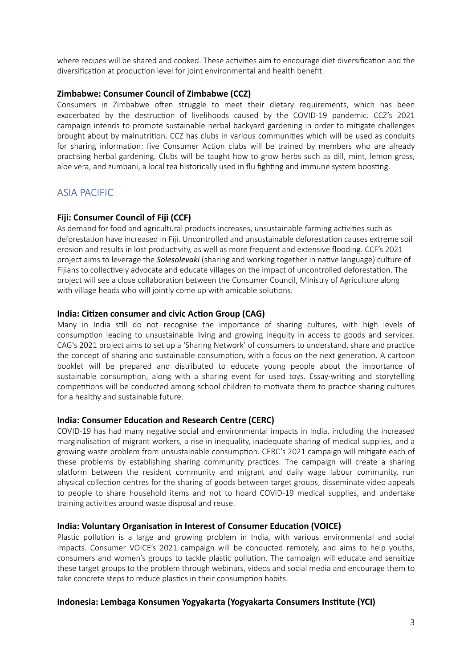where recipes will be shared and cooked. These activities aim to encourage diet diversification and the diversification at production level for joint environmental and health benefit.

#### **Zimbabwe: Consumer Council of Zimbabwe (CCZ)**

Consumers in Zimbabwe often struggle to meet their dietary requirements, which has been exacerbated by the destruction of livelihoods caused by the COVID-19 pandemic. CCZ's 2021 campaign intends to promote sustainable herbal backyard gardening in order to mitigate challenges brought about by malnutrition. CCZ has clubs in various communities which will be used as conduits for sharing information: five Consumer Action clubs will be trained by members who are already practising herbal gardening. Clubs will be taught how to grow herbs such as dill, mint, lemon grass, aloe vera, and zumbani, a local tea historically used in flu fighting and immune system boosting.

## ASIA PACIFIC

## **Fiji: Consumer Council of Fiji (CCF)**

As demand for food and agricultural products increases, unsustainable farming activities such as deforestation have increased in Fiji. Uncontrolled and unsustainable deforestation causes extreme soil erosion and results in lost productivity, as well as more frequent and extensive flooding. CCF's 2021 project aims to leverage the *Solesolevaki* (sharing and working together in native language) culture of Fijians to collectively advocate and educate villages on the impact of uncontrolled deforestation. The project will see a close collaboration between the Consumer Council, Ministry of Agriculture along with village heads who will jointly come up with amicable solutions.

#### **India: Citizen consumer and civic Action Group (CAG)**

Many in India still do not recognise the importance of sharing cultures, with high levels of consumption leading to unsustainable living and growing inequity in access to goods and services. CAG's 2021 project aims to set up a 'Sharing Network' of consumers to understand, share and practice the concept of sharing and sustainable consumption, with a focus on the next generation. A cartoon booklet will be prepared and distributed to educate young people about the importance of sustainable consumption, along with a sharing event for used toys. Essay-writing and storytelling competitions will be conducted among school children to motivate them to practice sharing cultures for a healthy and sustainable future.

## **India: Consumer Education and Research Centre (CERC)**

COVID-19 has had many negative social and environmental impacts in India, including the increased marginalisation of migrant workers, a rise in inequality, inadequate sharing of medical supplies, and a growing waste problem from unsustainable consumption. CERC's 2021 campaign will mitigate each of these problems by establishing sharing community practices. The campaign will create a sharing platform between the resident community and migrant and daily wage labour community, run physical collection centres for the sharing of goods between target groups, disseminate video appeals to people to share household items and not to hoard COVID-19 medical supplies, and undertake training activities around waste disposal and reuse.

#### **India: Voluntary Organisation in Interest of Consumer Education (VOICE)**

Plastic pollution is a large and growing problem in India, with various environmental and social impacts. Consumer VOICE's 2021 campaign will be conducted remotely, and aims to help youths, consumers and women's groups to tackle plastic pollution. The campaign will educate and sensitize these target groups to the problem through webinars, videos and social media and encourage them to take concrete steps to reduce plastics in their consumption habits.

#### **Indonesia: Lembaga Konsumen Yogyakarta (Yogyakarta Consumers Ins7tute (YCI)**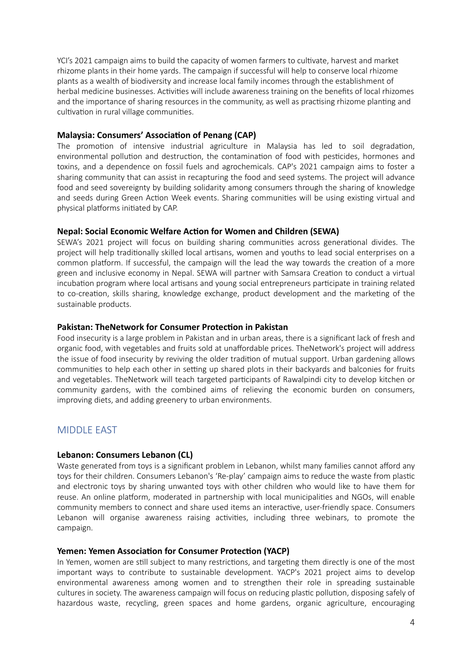YCI's 2021 campaign aims to build the capacity of women farmers to cultivate, harvest and market rhizome plants in their home yards. The campaign if successful will help to conserve local rhizome plants as a wealth of biodiversity and increase local family incomes through the establishment of herbal medicine businesses. Activities will include awareness training on the benefits of local rhizomes and the importance of sharing resources in the community, as well as practising rhizome planting and cultivation in rural village communities.

#### **Malaysia: Consumers' Association of Penang (CAP)**

The promotion of intensive industrial agriculture in Malaysia has led to soil degradation, environmental pollution and destruction, the contamination of food with pesticides, hormones and toxins, and a dependence on fossil fuels and agrochemicals. CAP's 2021 campaign aims to foster a sharing community that can assist in recapturing the food and seed systems. The project will advance food and seed sovereignty by building solidarity among consumers through the sharing of knowledge and seeds during Green Action Week events. Sharing communities will be using existing virtual and physical platforms initiated by CAP.

## **Nepal: Social Economic Welfare Action for Women and Children (SEWA)**

SEWA's 2021 project will focus on building sharing communities across generational divides. The project will help traditionally skilled local artisans, women and youths to lead social enterprises on a common platform. If successful, the campaign will the lead the way towards the creation of a more green and inclusive economy in Nepal. SEWA will partner with Samsara Creation to conduct a virtual incubation program where local artisans and young social entrepreneurs participate in training related to co-creation, skills sharing, knowledge exchange, product development and the marketing of the sustainable products.

#### **Pakistan: TheNetwork for Consumer Protection in Pakistan**

Food insecurity is a large problem in Pakistan and in urban areas, there is a significant lack of fresh and organic food, with vegetables and fruits sold at unaffordable prices. TheNetwork's project will address the issue of food insecurity by reviving the older tradition of mutual support. Urban gardening allows communities to help each other in setting up shared plots in their backyards and balconies for fruits and vegetables. TheNetwork will teach targeted participants of Rawalpindi city to develop kitchen or community gardens, with the combined aims of relieving the economic burden on consumers, improving diets, and adding greenery to urban environments.

## MIDDLE EAST

#### **Lebanon: Consumers Lebanon (CL)**

Waste generated from toys is a significant problem in Lebanon, whilst many families cannot afford any toys for their children. Consumers Lebanon's 'Re-play' campaign aims to reduce the waste from plastic and electronic toys by sharing unwanted toys with other children who would like to have them for reuse. An online platform, moderated in partnership with local municipalities and NGOs, will enable community members to connect and share used items an interactive, user-friendly space. Consumers Lebanon will organise awareness raising activities, including three webinars, to promote the campaign.

#### **Yemen: Yemen Association for Consumer Protection (YACP)**

In Yemen, women are still subject to many restrictions, and targeting them directly is one of the most important ways to contribute to sustainable development. YACP's 2021 project aims to develop environmental awareness among women and to strengthen their role in spreading sustainable cultures in society. The awareness campaign will focus on reducing plastic pollution, disposing safely of hazardous waste, recycling, green spaces and home gardens, organic agriculture, encouraging